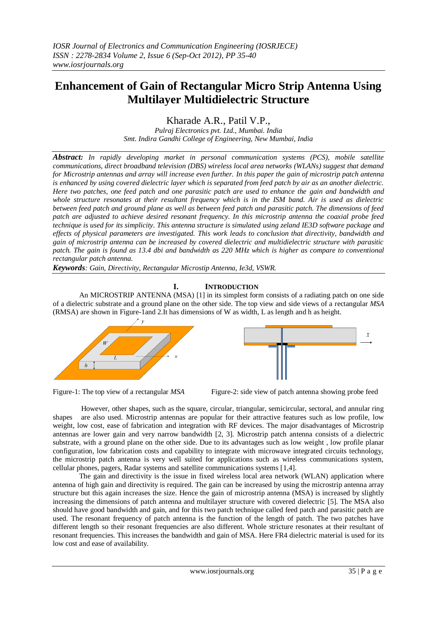# **Enhancement of Gain of Rectangular Micro Strip Antenna Using Multilayer Multidielectric Structure**

Kharade A.R., Patil V.P.,

*Pulraj Electronics pvt. Ltd., Mumbai. India Smt. Indira Gandhi College of Engineering, New Mumbai, India*

*Abstract: In rapidly developing market in personal communication systems (PCS), mobile satellite communications, direct broadband television (DBS) wireless local area networks (WLANs) suggest that demand for Microstrip antennas and array will increase even further. In this paper the gain of microstrip patch antenna is enhanced by using covered dielectric layer which is separated from feed patch by air as an another dielectric. Here two patches, one feed patch and one parasitic patch are used to enhance the gain and bandwidth and whole structure resonates at their resultant frequency which is in the ISM band. Air is used as dielectric between feed patch and ground plane as well as between feed patch and parasitic patch. The dimensions of feed patch are adjusted to achieve desired resonant frequency. In this microstrip antenna the coaxial probe feed technique is used for its simplicity. This antenna structure is simulated using zeland IE3D software package and effects of physical parameters are investigated. This work leads to conclusion that directivity, bandwidth and gain of microstrip antenna can be increased by covered dielectric and multidielectric structure with parasitic patch. The gain is found as 13.4 dbi and bandwidth as 220 MHz which is higher as compare to conventional rectangular patch antenna.*

*Keywords: Gain, Directivity, Rectangular Microstip Antenna, Ie3d, VSWR.*

# **I. INTRODUCTION**

An MICROSTRIP ANTENNA (MSA) [1] in its simplest form consists of a radiating patch on one side of a dielectric substrate and a ground plane on the other side. The top view and side views of a rectangular *MSA*  (RMSA) are shown in Figure-1and 2.It has dimensions of W as width, L as length and h as height.







However, other shapes, such as the square, circular, triangular, semicircular, sectoral, and annular ring shapes are also used. Microstrip antennas are popular for their attractive features such as low profile, low weight, low cost, ease of fabrication and integration with RF devices. The major disadvantages of Microstrip antennas are lower gain and very narrow bandwidth [2, 3]. Microstrip patch antenna consists of a dielectric substrate, with a ground plane on the other side. Due to its advantages such as low weight , low profile planar configuration, low fabrication costs and capability to integrate with microwave integrated circuits technology, the microstrip patch antenna is very well suited for applications such as wireless communications system, cellular phones, pagers, Radar systems and satellite communications systems [1,4].

The gain and directivity is the issue in fixed wireless local area network (WLAN) application where antenna of high gain and directivity is required. The gain can be increased by using the microstrip antenna array structure but this again increases the size. Hence the gain of microstrip antenna (MSA) is increased by slightly increasing the dimensions of patch antenna and multilayer structure with covered dielectric [5]. The MSA also should have good bandwidth and gain, and for this two patch technique called feed patch and parasitic patch are used. The resonant frequency of patch antenna is the function of the length of patch. The two patches have different length so their resonant frequencies are also different. Whole stricture resonates at their resultant of resonant frequencies. This increases the bandwidth and gain of MSA. Here FR4 dielectric material is used for its low cost and ease of availability.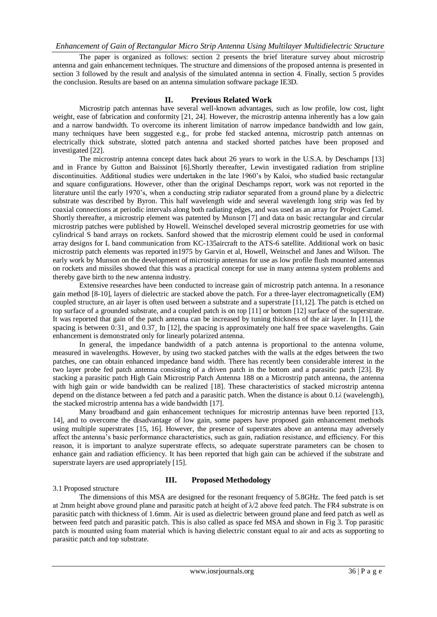The paper is organized as follows: section 2 presents the brief literature survey about microstrip antenna and gain enhancement techniques. The structure and dimensions of the proposed antenna is presented in section 3 followed by the result and analysis of the simulated antenna in section 4. Finally, section 5 provides the conclusion. Results are based on an antenna simulation software package IE3D.

#### **II. Previous Related Work**

Microstrip patch antennas have several well-known advantages, such as low profile, low cost, light weight, ease of fabrication and conformity [21, 24]. However, the microstrip antenna inherently has a low gain and a narrow bandwidth. To overcome its inherent limitation of narrow impedance bandwidth and low gain, many techniques have been suggested e.g., for probe fed stacked antenna, microstrip patch antennas on electrically thick substrate, slotted patch antenna and stacked shorted patches have been proposed and investigated [22].

The microstrip antenna concept dates back about 26 years to work in the U.S.A. by Deschamps [13] and in France by Gutton and Baissinot [6].Shortly thereafter, Lewin investigated radiation from stripline discontinuities. Additional studies were undertaken in the late 1960's by Kaloi, who studied basic rectangular and square configurations. However, other than the original Deschamps report, work was not reported in the literature until the early 1970's, when a conducting strip radiator separated from a ground plane by a dielectric substrate was described by Byron. This half wavelength wide and several wavelength long strip was fed by coaxial connections at periodic intervals along both radiating edges, and was used as an array for Project Camel. Shortly thereafter, a microstrip element was patented by Munson [7] and data on basic rectangular and circular microstrip patches were published by Howell. Weinschel developed several microstrip geometries for use with cylindrical S band arrays on rockets. Sanford showed that the microstrip element could be used in conformal array designs for L band communication from KC-135aircraft to the ATS-6 satellite. Additional work on basic microstrip patch elements was reported in1975 by Garvin et al, Howell, Weinschel and Janes and Wilson. The early work by Munson on the development of microstrip antennas for use as low profile flush mounted antennas on rockets and missiles showed that this was a practical concept for use in many antenna system problems and thereby gave birth to the new antenna industry.

Extensive researches have been conducted to increase gain of microstrip patch antenna. In a resonance gain method [8-10], layers of dielectric are stacked above the patch. For a three-layer electromagnetically (EM) coupled structure, an air layer is often used between a substrate and a superstrate [11,12]. The patch is etched on top surface of a grounded substrate, and a coupled patch is on top [11] or bottom [12] surface of the superstrate. It was reported that gain of the patch antenna can be increased by tuning thickness of the air layer. In [11], the spacing is between 0.31, and 0.37<sub>*i*</sub> In [12], the spacing is approximately one half free space wavelengths. Gain enhancement is demonstrated only for linearly polarized antenna.

In general, the impedance bandwidth of a patch antenna is proportional to the antenna volume, measured in wavelengths. However, by using two stacked patches with the walls at the edges between the two patches, one can obtain enhanced impedance band width. There has recently been considerable interest in the two layer probe fed patch antenna consisting of a driven patch in the bottom and a parasitic patch [23]. By stacking a parasitic patch High Gain Microstrip Patch Antenna 188 on a Microstrip patch antenna, the antenna with high gain or wide bandwidth can be realized [18]. These characteristics of stacked microstrip antenna depend on the distance between a fed patch and a parasitic patch. When the distance is about 0.1*λ* (wavelength), the stacked microstrip antenna has a wide bandwidth [17].

Many broadband and gain enhancement techniques for microstrip antennas have been reported [13, 14], and to overcome the disadvantage of low gain, some papers have proposed gain enhancement methods using multiple superstrates [15, 16]. However, the presence of superstrates above an antenna may adversely affect the antenna's basic performance characteristics, such as gain, radiation resistance, and efficiency. For this reason, it is important to analyze superstrate effects, so adequate superstrate parameters can be chosen to enhance gain and radiation efficiency. It has been reported that high gain can be achieved if the substrate and superstrate layers are used appropriately [15].

#### 3.1 Proposed structure

# **III. Proposed Methodology**

The dimensions of this MSA are designed for the resonant frequency of 5.8GHz. The feed patch is set at 2mm height above ground plane and parasitic patch at height of  $\lambda/2$  above feed patch. The FR4 substrate is on parasitic patch with thickness of 1.6mm. Air is used as dielectric between ground plane and feed patch as well as between feed patch and parasitic patch. This is also called as space fed MSA and shown in Fig 3. Top parasitic patch is mounted using foam material which is having dielectric constant equal to air and acts as supporting to parasitic patch and top substrate.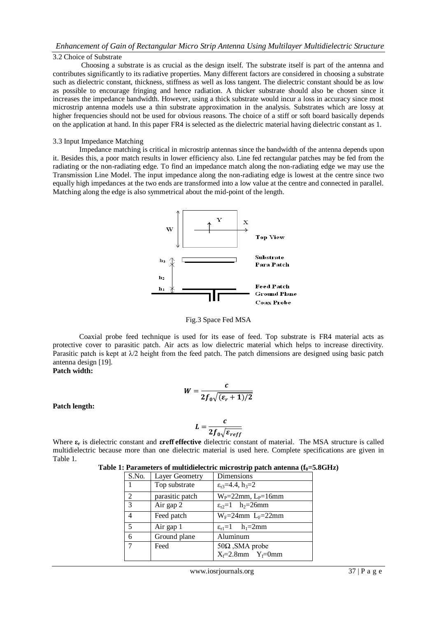# *Enhancement of Gain of Rectangular Micro Strip Antenna Using Multilayer Multidielectric Structure*

# 3.2 Choice of Substrate

Choosing a substrate is as crucial as the design itself. The substrate itself is part of the antenna and contributes significantly to its radiative properties. Many different factors are considered in choosing a substrate such as dielectric constant, thickness, stiffness as well as loss tangent. The dielectric constant should be as low as possible to encourage fringing and hence radiation. A thicker substrate should also be chosen since it increases the impedance bandwidth. However, using a thick substrate would incur a loss in accuracy since most microstrip antenna models use a thin substrate approximation in the analysis. Substrates which are lossy at higher frequencies should not be used for obvious reasons. The choice of a stiff or soft board basically depends on the application at hand. In this paper FR4 is selected as the dielectric material having dielectric constant as 1.

### 3.3 Input Impedance Matching

Impedance matching is critical in microstrip antennas since the bandwidth of the antenna depends upon it. Besides this, a poor match results in lower efficiency also. Line fed rectangular patches may be fed from the radiating or the non-radiating edge. To find an impedance match along the non-radiating edge we may use the Transmission Line Model. The input impedance along the non-radiating edge is lowest at the centre since two equally high impedances at the two ends are transformed into a low value at the centre and connected in parallel. Matching along the edge is also symmetrical about the mid-point of the length.



Fig.3 Space Fed MSA

Coaxial probe feed technique is used for its ease of feed. Top substrate is FR4 material acts as protective cover to parasitic patch. Air acts as low dielectric material which helps to increase directivity. Parasitic patch is kept at  $\lambda/2$  height from the feed patch. The patch dimensions are designed using basic patch antenna design [19].

# **Patch width:**

$$
W=\frac{c}{2f_0\sqrt{(\varepsilon_r+1)/2}}
$$

**Patch length:** 

$$
L=\frac{c}{2f_0\sqrt{\varepsilon_{reff}}}
$$

Where **ε<sup>r</sup>** is dielectric constant and **εreff effective** dielectric constant of material. The MSA structure is called multidielectric because more than one dielectric material is used here. Complete specifications are given in Table 1.

|  | Table 1: Parameters of multidielectric microstrip patch antenna $(f_0 = 5.8 \text{GHz})$ |  |  |  |
|--|------------------------------------------------------------------------------------------|--|--|--|
|  |                                                                                          |  |  |  |

| S.No.          | Layer Geometry  | Dimensions                                  |  |  |
|----------------|-----------------|---------------------------------------------|--|--|
|                | Top substrate   | $\varepsilon_{r3} = 4.4$ , $h_3 = 2$        |  |  |
| $\overline{2}$ | parasitic patch | $W_P = 22$ mm, $L_P = 16$ mm                |  |  |
| 3              | Air gap 2       | $\varepsilon_{r2} = 1$ h <sub>2</sub> =26mm |  |  |
| $\overline{4}$ | Feed patch      | $W_F = 24$ mm $L_F = 22$ mm                 |  |  |
| .5             | Air gap 1       | $\varepsilon_{r1} = 1$ h <sub>1</sub> =2mm  |  |  |
| 6              | Ground plane    | Aluminum                                    |  |  |
| 7              | Feed            | $50\Omega$ , SMA probe                      |  |  |
|                |                 | $X_f=2.8$ mm $Y_f=0$ mm                     |  |  |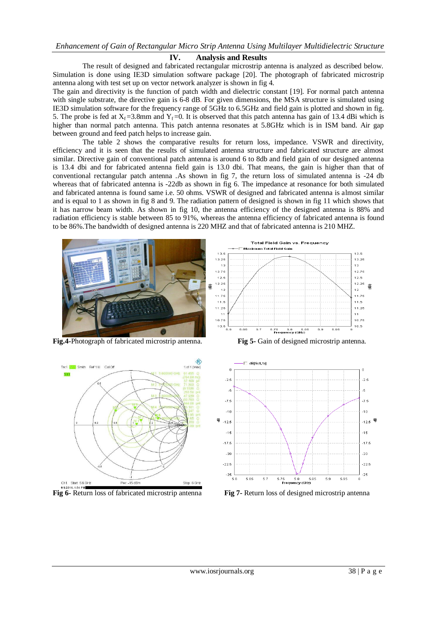### **IV. Analysis and Results**

The result of designed and fabricated rectangular microstrip antenna is analyzed as described below. Simulation is done using IE3D simulation software package [20]. The photograph of fabricated microstrip antenna along with test set up on vector network analyzer is shown in fig 4.

The gain and directivity is the function of patch width and dielectric constant [19]. For normal patch antenna with single substrate, the directive gain is 6-8 dB. For given dimensions, the MSA structure is simulated using IE3D simulation software for the frequency range of 5GHz to 6.5GHz and field gain is plotted and shown in fig. 5. The probe is fed at  $X_f = 3.8$ mm and  $Y_f = 0$ . It is observed that this patch antenna has gain of 13.4 dBi which is higher than normal patch antenna. This patch antenna resonates at 5.8GHz which is in ISM band. Air gap between ground and feed patch helps to increase gain.

The table 2 shows the comparative results for return loss, impedance. VSWR and directivity, efficiency and it is seen that the results of simulated antenna structure and fabricated structure are almost similar. Directive gain of conventional patch antenna is around 6 to 8db and field gain of our designed antenna is 13.4 dbi and for fabricated antenna field gain is 13.0 dbi. That means, the gain is higher than that of conventional rectangular patch antenna .As shown in fig 7, the return loss of simulated antenna is -24 db whereas that of fabricated antenna is -22db as shown in fig 6. The impedance at resonance for both simulated and fabricated antenna is found same i.e. 50 ohms. VSWR of designed and fabricated antenna is almost similar and is equal to 1 as shown in fig 8 and 9. The radiation pattern of designed is shown in fig 11 which shows that it has narrow beam width. As shown in fig 10, the antenna efficiency of the designed antenna is 88% and radiation efficiency is stable between 85 to 91%, whereas the antenna efficiency of fabricated antenna is found to be 86%.The bandwidth of designed antenna is 220 MHZ and that of fabricated antenna is 210 MHZ.



**Fig.4-**Photograph of fabricated microstrip antenna. **Fig 5-** Gain of designed microstrip antenna.









**Fig 6-** Return loss of fabricated microstrip antenna **Fig 7-** Return loss of designed microstrip antenna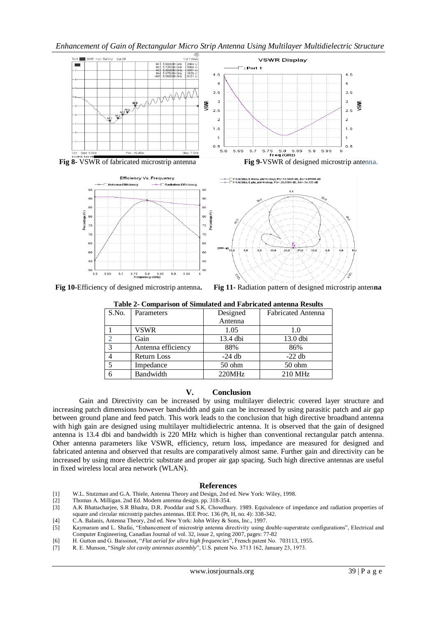## *Enhancement of Gain of Rectangular Micro Strip Antenna Using Multilayer Multidielectric Structure*







**Fig 10-**Efficiency of designed microstrip antenna**. Fig 11-** Radiation pattern of designed microstrip anten**na**

| Table 2- Comparison of Simulated and Pabricated antenna Results |                    |          |                           |  |  |  |  |
|-----------------------------------------------------------------|--------------------|----------|---------------------------|--|--|--|--|
| S.No.                                                           | Parameters         | Designed | <b>Fabricated Antenna</b> |  |  |  |  |
|                                                                 |                    | Antenna  |                           |  |  |  |  |
|                                                                 | VSWR               | 1.05     | 1.0                       |  |  |  |  |
| ↑                                                               | Gain               | 13.4 dbi | 13.0 dbi                  |  |  |  |  |
| 3                                                               | Antenna efficiency | 88%      | 86%                       |  |  |  |  |
|                                                                 | <b>Return Loss</b> | $-24$ db | $-22$ db                  |  |  |  |  |
| 5                                                               | Impedance          | $50$ ohm | $50$ ohm                  |  |  |  |  |
| 6                                                               | Bandwidth          | 220MHz   | 210 MHz                   |  |  |  |  |

**Table 2- Comparison of Simulated and Fabricated antenna Results**

#### **V. Conclusion**

Gain and Directivity can be increased by using multilayer dielectric covered layer structure and increasing patch dimensions however bandwidth and gain can be increased by using parasitic patch and air gap between ground plane and feed patch. This work leads to the conclusion that high directive broadband antenna with high gain are designed using multilayer multidielectric antenna. It is observed that the gain of designed antenna is 13.4 dbi and bandwidth is 220 MHz which is higher than conventional rectangular patch antenna. Other antenna parameters like VSWR, efficiency, return loss, impedance are measured for designed and fabricated antenna and observed that results are comparatively almost same. Further gain and directivity can be increased by using more dielectric substrate and proper air gap spacing. Such high directive antennas are useful in fixed wireless local area network (WLAN).

#### **References**

- [1] W.L. Stutzman and G.A. Thiele, Antenna Theory and Design, 2nd ed. New York: Wiley, 1998.
- [2] Thomas A. Milligan. 2nd Ed. Modern antenna design. pp. 318-354.
- [3] A.K Bhattacharjee, S.R Bhadra, D.R. Pooddar and S.K. Chowdhury. 1989. Equivalence of impedance and radiation properties of square and circular microstrip patches antennas. IEE Proc. 136 (Pt, H, no. 4): 338-342.
- [4] C.A. Balanis, Antenna Theory, 2nd ed. New York: John Wiley & Sons, Inc., 1997.
- [5] Kaymaram and L. Shafai, "Enhancement of microstrip antenna directivity using double-superstrate configurations", Electrical and Computer Engineering, Canadian Journal of vol. 32, issue 2, spring 2007, pages: 77-82
- [6] H. Gutton and G. Baissinot, "*Flat aerial for ultra high frequencies*", French patent No. 703113, 1955.
- [7] R. E. Munson, "*Single slot cavity antennas assembly*", U.S. patent No. 3713 162, January 23, 1973.